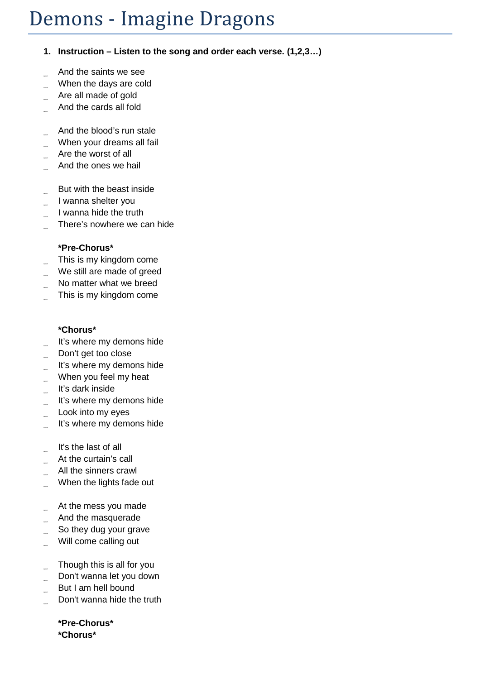## Demons - Imagine Dragons

## **1. Instruction – Listen to the song and order each verse. (1,2,3…)**

- \_ And the saints we see
- When the days are cold
- Are all made of gold
- \_ And the cards all fold
- And the blood's run stale
- When your dreams all fail
- Are the worst of all
- \_ And the ones we hail
- But with the beast inside
- I wanna shelter you
- \_ I wanna hide the truth
- There's nowhere we can hide

## **\*Pre-Chorus\***

- This is my kingdom come
- We still are made of greed
- No matter what we breed
- This is my kingdom come

## **\*Chorus\***

- It's where my demons hide
- Don't get too close
- It's where my demons hide
- When you feel my heat
- \_ It's dark inside
- \_ It's where my demons hide
- Look into my eyes
- It's where my demons hide
- It's the last of all
- At the curtain's call
- All the sinners crawl
- When the lights fade out
- At the mess you made
- \_ And the masquerade
- So they dug your grave
- Will come calling out
- Though this is all for you
- Don't wanna let you down
- But I am hell bound
- Don't wanna hide the truth

**\*Pre-Chorus\* \*Chorus\***